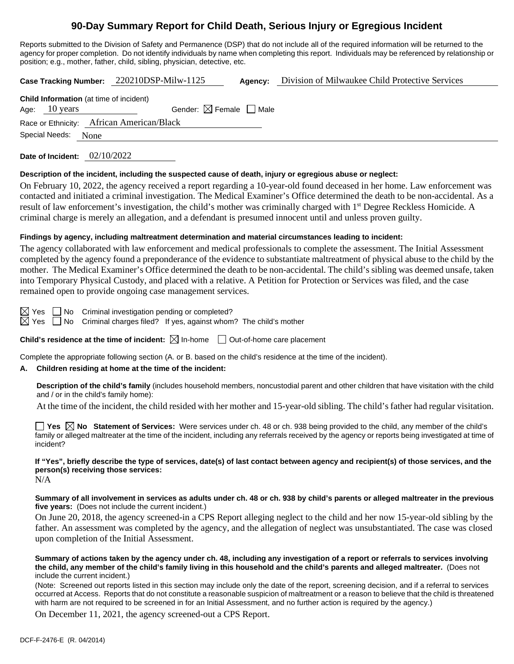# **90-Day Summary Report for Child Death, Serious Injury or Egregious Incident**

Reports submitted to the Division of Safety and Permanence (DSP) that do not include all of the required information will be returned to the agency for proper completion. Do not identify individuals by name when completing this report. Individuals may be referenced by relationship or position; e.g., mother, father, child, sibling, physician, detective, etc.

**Case Tracking Number:** 220210DSP-Milw-1125 **Agency:** Division of Milwaukee Child Protective Services

| <b>Child Information</b> (at time of incident) |                         |                                        |  |  |  |  |  |
|------------------------------------------------|-------------------------|----------------------------------------|--|--|--|--|--|
|                                                | Age: $10 \text{ years}$ | Gender: $\boxtimes$ Female $\Box$ Male |  |  |  |  |  |
| Race or Ethnicity: African American/Black      |                         |                                        |  |  |  |  |  |
| Special Needs: None                            |                         |                                        |  |  |  |  |  |

**Date of Incident:** 02/10/2022

## **Description of the incident, including the suspected cause of death, injury or egregious abuse or neglect:**

On February 10, 2022, the agency received a report regarding a 10-year-old found deceased in her home. Law enforcement was contacted and initiated a criminal investigation. The Medical Examiner's Office determined the death to be non-accidental. As a result of law enforcement's investigation, the child's mother was criminally charged with 1<sup>st</sup> Degree Reckless Homicide. A criminal charge is merely an allegation, and a defendant is presumed innocent until and unless proven guilty.

## **Findings by agency, including maltreatment determination and material circumstances leading to incident:**

The agency collaborated with law enforcement and medical professionals to complete the assessment. The Initial Assessment completed by the agency found a preponderance of the evidence to substantiate maltreatment of physical abuse to the child by the mother. The Medical Examiner's Office determined the death to be non-accidental. The child's sibling was deemed unsafe, taken into Temporary Physical Custody, and placed with a relative. A Petition for Protection or Services was filed, and the case remained open to provide ongoing case management services.

 $\boxtimes$  Yes  $\Box$  No Criminal investigation pending or completed?

 $\boxtimes$  Yes  $\Box$  No Criminal charges filed? If yes, against whom? The child's mother

**Child's residence at the time of incident:**  $\boxtimes$  In-home  $\Box$  Out-of-home care placement

Complete the appropriate following section (A. or B. based on the child's residence at the time of the incident).

## **A. Children residing at home at the time of the incident:**

**Description of the child's family** (includes household members, noncustodial parent and other children that have visitation with the child and / or in the child's family home):

At the time of the incident, the child resided with her mother and 15-year-old sibling. The child's father had regular visitation.

**Yes**  $\boxtimes$  **No** Statement of Services: Were services under ch. 48 or ch. 938 being provided to the child, any member of the child's family or alleged maltreater at the time of the incident, including any referrals received by the agency or reports being investigated at time of incident?

# **If "Yes", briefly describe the type of services, date(s) of last contact between agency and recipient(s) of those services, and the person(s) receiving those services:**

N/A

#### **Summary of all involvement in services as adults under ch. 48 or ch. 938 by child's parents or alleged maltreater in the previous five years:** (Does not include the current incident.)

On June 20, 2018, the agency screened-in a CPS Report alleging neglect to the child and her now 15-year-old sibling by the father. An assessment was completed by the agency, and the allegation of neglect was unsubstantiated. The case was closed upon completion of the Initial Assessment.

#### **Summary of actions taken by the agency under ch. 48, including any investigation of a report or referrals to services involving the child, any member of the child's family living in this household and the child's parents and alleged maltreater.** (Does not include the current incident.)

(Note: Screened out reports listed in this section may include only the date of the report, screening decision, and if a referral to services occurred at Access. Reports that do not constitute a reasonable suspicion of maltreatment or a reason to believe that the child is threatened with harm are not required to be screened in for an Initial Assessment, and no further action is required by the agency.)

On December 11, 2021, the agency screened-out a CPS Report.